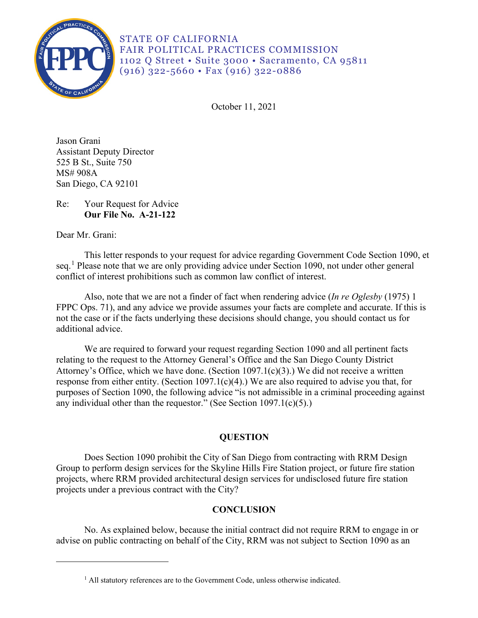

STATE OF CALIFORNIA FAIR POLITICAL PRACTICES COMMISSION 1102 Q Street • Suite 3000 • Sacramento, CA 95811 (916) 322-5660 • Fax (916) 322-0886

October 11, 2021

Jason Grani Assistant Deputy Director 525 B St., Suite 750 MS# 908A San Diego, CA 92101

# Re: Your Request for Advice **Our File No. A-21-122**

Dear Mr. Grani:

This letter responds to your request for advice regarding Government Code Section 1090, et seq.<sup>[1](#page-0-0)</sup> Please note that we are only providing advice under Section 1090, not under other general conflict of interest prohibitions such as common law conflict of interest.

Also, note that we are not a finder of fact when rendering advice (*In re Oglesby* (1975) 1 FPPC Ops. 71), and any advice we provide assumes your facts are complete and accurate. If this is not the case or if the facts underlying these decisions should change, you should contact us for additional advice.

 Attorney's Office, which we have done. (Section 1097.1(c)(3).) We did not receive a written We are required to forward your request regarding Section 1090 and all pertinent facts relating to the request to the Attorney General's Office and the San Diego County District response from either entity. (Section 1097.1(c)(4).) We are also required to advise you that, for purposes of Section 1090, the following advice "is not admissible in a criminal proceeding against any individual other than the requestor." (See Section  $1097.1(c)(5)$ .)

# **QUESTION**

 Group to perform design services for the Skyline Hills Fire Station project, or future fire station Does Section 1090 prohibit the City of San Diego from contracting with RRM Design projects, where RRM provided architectural design services for undisclosed future fire station projects under a previous contract with the City?

# **CONCLUSION**

<span id="page-0-0"></span>No. As explained below, because the initial contract did not require RRM to engage in or advise on public contracting on behalf of the City, RRM was not subject to Section 1090 as an

<sup>&</sup>lt;sup>1</sup> All statutory references are to the Government Code, unless otherwise indicated.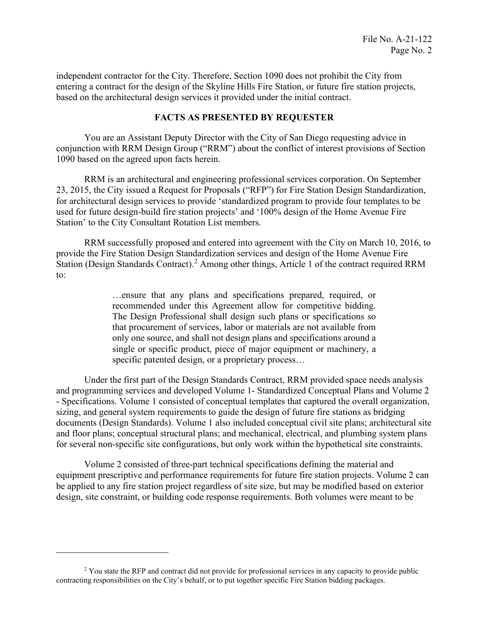independent contractor for the City. Therefore, Section 1090 does not prohibit the City from entering a contract for the design of the Skyline Hills Fire Station, or future fire station projects, based on the architectural design services it provided under the initial contract.

### **FACTS AS PRESENTED BY REQUESTER**

You are an Assistant Deputy Director with the City of San Diego requesting advice in conjunction with RRM Design Group ("RRM") about the conflict of interest provisions of Section 1090 based on the agreed upon facts herein.

 23, 2015, the City issued a Request for Proposals ("RFP") for Fire Station Design Standardization, used for future design-build fire station projects' and '100% design of the Home Avenue Fire RRM is an architectural and engineering professional services corporation. On September for architectural design services to provide 'standardized program to provide four templates to be Station' to the City Consultant Rotation List members.

RRM successfully proposed and entered into agreement with the City on March 10, 2016, to provide the Fire Station Design Standardization services and design of the Home Avenue Fire Station (Design Standards Contract).<sup>[2](#page-1-0)</sup> Among other things, Article 1 of the contract required RRM to:

> …ensure that any plans and specifications prepared, required, or recommended under this Agreement allow for competitive bidding. The Design Professional shall design such plans or specifications so that procurement of services, labor or materials are not available from only one source, and shall not design plans and specifications around a single or specific product, piece of major equipment or machinery, a specific patented design, or a proprietary process…

Station (Design Standards Contract).<sup>2</sup> Among other things, Article 1 of the contract required, or<br>
commended under this Agreement allow for competitive bidding.<br>
The Design Professional shall design such plans are psocifi Under the first part of the Design Standards Contract, RRM provided space needs analysis and programming services and developed Volume 1- Standardized Conceptual Plans and Volume 2 - Specifications. Volume 1 consisted of conceptual templates that captured the overall organization, sizing, and general system requirements to guide the design of future fire stations as bridging documents (Design Standards). Volume 1 also included conceptual civil site plans; architectural site and floor plans; conceptual structural plans; and mechanical, electrical, and plumbing system plans for several non-specific site configurations, but only work within the hypothetical site constraints.

Volume 2 consisted of three-part technical specifications defining the material and equipment prescriptive and performance requirements for future fire station projects. Volume 2 can be applied to any fire station project regardless of site size, but may be modified based on exterior design, site constraint, or building code response requirements. Both volumes were meant to be

<span id="page-1-0"></span>contracting responsibilities on the City's behalf, or to put together specific Fire Station bidding packages. <sup>2</sup> You state the RFP and contract did not provide for professional services in any capacity to provide public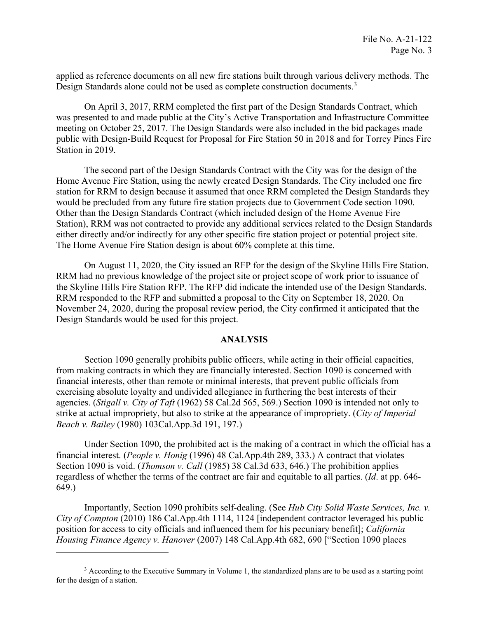Design Standards alone could not be used as complete construction documents.<sup>3</sup> applied as reference documents on all new fire stations built through various delivery methods. The

On April 3, 2017, RRM completed the first part of the Design Standards Contract, which was presented to and made public at the City's Active Transportation and Infrastructure Committee meeting on October 25, 2017. The Design Standards were also included in the bid packages made public with Design-Build Request for Proposal for Fire Station 50 in 2018 and for Torrey Pines Fire Station in 2019.

 either directly and/or indirectly for any other specific fire station project or potential project site. The Home Avenue Fire Station design is about 60% complete at this time. The second part of the Design Standards Contract with the City was for the design of the Home Avenue Fire Station, using the newly created Design Standards. The City included one fire station for RRM to design because it assumed that once RRM completed the Design Standards they would be precluded from any future fire station projects due to Government Code section 1090. Other than the Design Standards Contract (which included design of the Home Avenue Fire Station), RRM was not contracted to provide any additional services related to the Design Standards

On August 11, 2020, the City issued an RFP for the design of the Skyline Hills Fire Station. RRM had no previous knowledge of the project site or project scope of work prior to issuance of the Skyline Hills Fire Station RFP. The RFP did indicate the intended use of the Design Standards. RRM responded to the RFP and submitted a proposal to the City on September 18, 2020. On November 24, 2020, during the proposal review period, the City confirmed it anticipated that the Design Standards would be used for this project.

#### **ANALYSIS**

Section 1090 generally prohibits public officers, while acting in their official capacities, from making contracts in which they are financially interested. Section 1090 is concerned with financial interests, other than remote or minimal interests, that prevent public officials from exercising absolute loyalty and undivided allegiance in furthering the best interests of their agencies. (*Stigall v. City of Taft* (1962) 58 Cal.2d 565, 569.) Section 1090 is intended not only to strike at actual impropriety, but also to strike at the appearance of impropriety. (*City of Imperial Beach v. Bailey* (1980) [103Cal.App.3d](https://103Cal.App.3d) 191, 197.)

 Under Section 1090, the prohibited act is the making of a contract in which the official has a financial interest. (*People v. Honig* (1996) 48 Cal.App.4th 289, 333.) A contract that violates Section 1090 is void. (*Thomson v. Call* (1985) 38 Cal.3d 633, 646.) The prohibition applies regardless of whether the terms of the contract are fair and equitable to all parties. (*Id*. at pp. 646- 649.)

Importantly, Section 1090 prohibits self-dealing. (See *Hub City Solid Waste Services, Inc. v. City of Compton* (2010) 186 Cal.App.4th 1114, 1124 [independent contractor leveraged his public position for access to city officials and influenced them for his pecuniary benefit]; *California Housing Finance Agency v. Hanover* (2007) 148 Cal.App.4th 682, 690 ["Section 1090 places

<span id="page-2-0"></span> for the design of a station. <sup>3</sup> According to the Executive Summary in Volume 1, the standardized plans are to be used as a starting point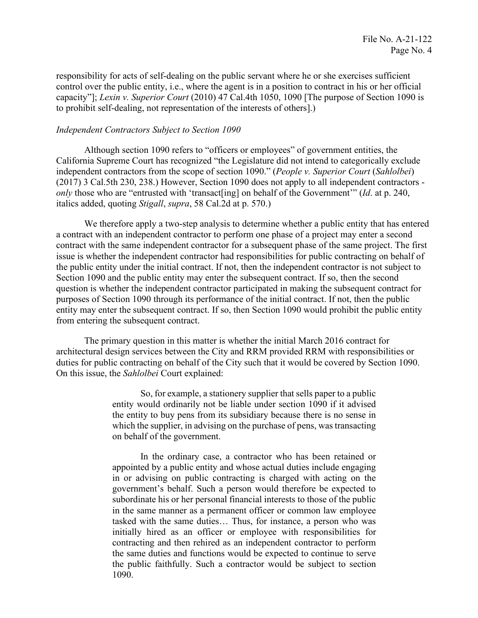responsibility for acts of self-dealing on the public servant where he or she exercises sufficient to prohibit self-dealing, not representation of the interests of others].) control over the public entity, i.e., where the agent is in a position to contract in his or her official capacity"]; *Lexin v. Superior Court* (2010) 47 Cal.4th 1050, 1090 [The purpose of Section 1090 is

### *Independent Contractors Subject to Section 1090*

 (2017) 3 Cal.5th 230, 238.) However, Section 1090 does not apply to all independent contractors italics added, quoting *Stigall*, *supra*, 58 Cal.2d at p. 570.) Although section 1090 refers to "officers or employees" of government entities, the California Supreme Court has recognized "the Legislature did not intend to categorically exclude independent contractors from the scope of section 1090." (*People v. Superior Court* (*Sahlolbei*) *only* those who are "entrusted with 'transact[ing] on behalf of the Government'" (*Id.* at p. 240,

 contract with the same independent contractor for a subsequent phase of the same project. The first We therefore apply a two-step analysis to determine whether a public entity that has entered a contract with an independent contractor to perform one phase of a project may enter a second issue is whether the independent contractor had responsibilities for public contracting on behalf of the public entity under the initial contract. If not, then the independent contractor is not subject to Section 1090 and the public entity may enter the subsequent contract. If so, then the second question is whether the independent contractor participated in making the subsequent contract for purposes of Section 1090 through its performance of the initial contract. If not, then the public entity may enter the subsequent contract. If so, then Section 1090 would prohibit the public entity from entering the subsequent contract.

The primary question in this matter is whether the initial March 2016 contract for architectural design services between the City and RRM provided RRM with responsibilities or duties for public contracting on behalf of the City such that it would be covered by Section 1090. On this issue, the *Sahlolbei* Court explained:

> So, for example, a stationery supplier that sells paper to a public entity would ordinarily not be liable under section 1090 if it advised the entity to buy pens from its subsidiary because there is no sense in which the supplier, in advising on the purchase of pens, was transacting on behalf of the government.

> In the ordinary case, a contractor who has been retained or appointed by a public entity and whose actual duties include engaging in or advising on public contracting is charged with acting on the government's behalf. Such a person would therefore be expected to subordinate his or her personal financial interests to those of the public in the same manner as a permanent officer or common law employee tasked with the same duties… Thus, for instance, a person who was initially hired as an officer or employee with responsibilities for contracting and then rehired as an independent contractor to perform the same duties and functions would be expected to continue to serve the public faithfully. Such a contractor would be subject to section 1090.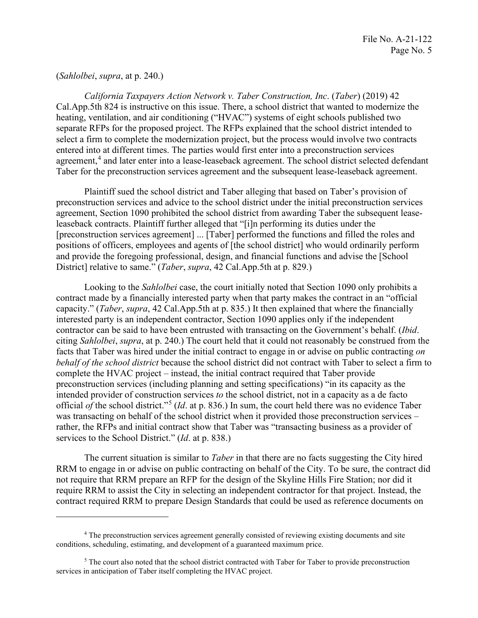### (*Sahlolbei*, *supra*, at p. 240.)

*California Taxpayers Action Network v. Taber Construction, Inc*. (*Taber*) (2019) 42 Cal.App.5th 824 is instructive on this issue. There, a school district that wanted to modernize the heating, ventilation, and air conditioning ("HVAC") systems of eight schools published two separate RFPs for the proposed project. The RFPs explained that the school district intended to select a firm to complete the modernization project, but the process would involve two contracts entered into at different times. The parties would first enter into a preconstruction services agreement,<sup>4</sup> and later enter into a lease-leaseback agreement. The school district selected defendant Taber for the preconstruction services agreement and the subsequent lease-leaseback agreement.

 leaseback contracts. Plaintiff further alleged that "[i]n performing its duties under the Plaintiff sued the school district and Taber alleging that based on Taber's provision of preconstruction services and advice to the school district under the initial preconstruction services agreement, Section 1090 prohibited the school district from awarding Taber the subsequent lease-[preconstruction services agreement] ... [Taber] performed the functions and filled the roles and positions of officers, employees and agents of [the school district] who would ordinarily perform and provide the foregoing professional, design, and financial functions and advise the [School District] relative to same." (*Taber*, *supra*, 42 Cal.App.5th at p. 829.)

 Looking to the *Sahlolbei* case, the court initially noted that Section 1090 only prohibits a facts that Taber was hired under the initial contract to engage in or advise on public contracting *on*  intended provider of construction services *to* the school district, not in a capacity as a de facto contract made by a financially interested party when that party makes the contract in an "official capacity." (*Taber*, *supra*, 42 Cal.App.5th at p. 835.) It then explained that where the financially interested party is an independent contractor, Section 1090 applies only if the independent contractor can be said to have been entrusted with transacting on the Government's behalf. (*Ibid*. citing *Sahlolbei*, *supra*, at p. 240.) The court held that it could not reasonably be construed from the *behalf of the school district* because the school district did not contract with Taber to select a firm to complete the HVAC project – instead, the initial contract required that Taber provide preconstruction services (including planning and setting specifications) "in its capacity as the official *of* the school district."[5](#page-4-1) (*Id*. at p. 836.) In sum, the court held there was no evidence Taber was transacting on behalf of the school district when it provided those preconstruction services – rather, the RFPs and initial contract show that Taber was "transacting business as a provider of services to the School District." (*Id*. at p. 838.)

The current situation is similar to *Taber* in that there are no facts suggesting the City hired RRM to engage in or advise on public contracting on behalf of the City. To be sure, the contract did not require that RRM prepare an RFP for the design of the Skyline Hills Fire Station; nor did it require RRM to assist the City in selecting an independent contractor for that project. Instead, the contract required RRM to prepare Design Standards that could be used as reference documents on

<span id="page-4-0"></span> conditions, scheduling, estimating, and development of a guaranteed maximum price. 4 The preconstruction services agreement generally consisted of reviewing existing documents and site

<span id="page-4-1"></span> $<sup>5</sup>$  The court also noted that the school district contracted with Taber for Taber to provide preconstruction</sup> services in anticipation of Taber itself completing the HVAC project.